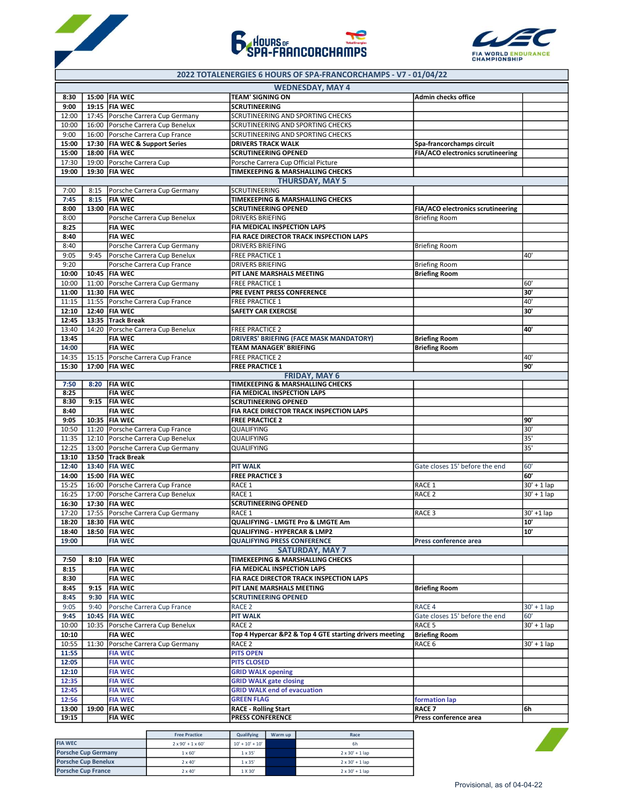





## 2022 TOTALENERGIES 6 HOURS OF SPA-FRANCORCHAMPS - V7 - 01/04/22

|                |                            |                                     |                               |                                                                   | <b>WEDNESDAY, MAY 4</b>                                 |                                   |                   |
|----------------|----------------------------|-------------------------------------|-------------------------------|-------------------------------------------------------------------|---------------------------------------------------------|-----------------------------------|-------------------|
| 8:30           |                            | 15:00   FIA WEC                     |                               | <b>TEAM' SIGNING ON</b>                                           |                                                         | <b>Admin checks office</b>        |                   |
| 9:00           | 19:15                      | <b>FIA WEC</b>                      |                               | <b>SCRUTINEERING</b>                                              |                                                         |                                   |                   |
| 12:00          | 17:45                      |                                     | Porsche Carrera Cup Germany   | SCRUTINEERING AND SPORTING CHECKS                                 |                                                         |                                   |                   |
| 10:00          | 16:00                      |                                     | Porsche Carrera Cup Benelux   | SCRUTINEERING AND SPORTING CHECKS                                 |                                                         |                                   |                   |
| 9:00           | 16:00                      | Porsche Carrera Cup France          |                               | SCRUTINEERING AND SPORTING CHECKS                                 |                                                         |                                   |                   |
| 15:00          | 17:30                      | <b>FIA WEC &amp; Support Series</b> |                               | <b>DRIVERS TRACK WALK</b>                                         |                                                         | Spa-francorchamps circuit         |                   |
| 15:00          | 18:00                      | <b>FIA WEC</b>                      |                               | <b>SCRUTINEERING OPENED</b>                                       |                                                         | FIA/ACO electronics scrutineering |                   |
| 17:30          | 19:00                      | Porsche Carrera Cup                 |                               | Porsche Carrera Cup Official Picture                              |                                                         |                                   |                   |
| 19:00          |                            | 19:30   FIA WEC                     |                               | TIMEKEEPING & MARSHALLING CHECKS                                  | <b>THURSDAY, MAY 5</b>                                  |                                   |                   |
| 7:00           | 8:15                       |                                     | Porsche Carrera Cup Germany   | SCRUTINEERING                                                     |                                                         |                                   |                   |
| 7:45           | 8:15                       | <b>FIA WEC</b>                      |                               | TIMEKEEPING & MARSHALLING CHECKS                                  |                                                         |                                   |                   |
| 8:00           |                            | 13:00 FIA WEC                       |                               | <b>SCRUTINEERING OPENED</b>                                       |                                                         | FIA/ACO electronics scrutineering |                   |
| 8:00           |                            |                                     | Porsche Carrera Cup Benelux   | <b>DRIVERS BRIEFING</b>                                           |                                                         | <b>Briefing Room</b>              |                   |
| 8:25           |                            | <b>FIA WEC</b>                      |                               | FIA MEDICAL INSPECTION LAPS                                       |                                                         |                                   |                   |
| 8:40           |                            | <b>FIA WEC</b>                      |                               |                                                                   | FIA RACE DIRECTOR TRACK INSPECTION LAPS                 |                                   |                   |
| 8:40           |                            |                                     | Porsche Carrera Cup Germany   | <b>DRIVERS BRIEFING</b>                                           |                                                         | <b>Briefing Room</b>              |                   |
| 9:05           | 9:45                       |                                     | Porsche Carrera Cup Benelux   | <b>FREE PRACTICE 1</b>                                            |                                                         |                                   | 40'               |
| 9:20           |                            |                                     | Porsche Carrera Cup France    | <b>DRIVERS BRIEFING</b>                                           |                                                         | <b>Briefing Room</b>              |                   |
| 10:00          | 10:45                      | <b>FIA WEC</b>                      |                               | PIT LANE MARSHALS MEETING                                         |                                                         | <b>Briefing Room</b>              |                   |
| 10:00          | 11:00                      |                                     | Porsche Carrera Cup Germany   | <b>FREE PRACTICE 1</b>                                            |                                                         |                                   | 60'               |
| 11:00          | 11:30                      | <b>FIA WEC</b>                      |                               | PRE EVENT PRESS CONFERENCE                                        |                                                         |                                   | 30'               |
| 11:15          | 11:55                      | Porsche Carrera Cup France          |                               | <b>FREE PRACTICE 1</b>                                            |                                                         |                                   | 40'               |
| 12:10          | 12:40                      | <b>FIA WEC</b>                      |                               | <b>SAFETY CAR EXERCISE</b>                                        |                                                         |                                   | 30'               |
| 12:45          | 13:35                      | Track Break                         |                               |                                                                   |                                                         |                                   |                   |
| 13:40          | 14:20                      |                                     | Porsche Carrera Cup Benelux   | <b>FREE PRACTICE 2</b>                                            |                                                         |                                   | 40'               |
| 13:45          |                            | <b>FIA WEC</b>                      |                               |                                                                   | <b>DRIVERS' BRIEFING (FACE MASK MANDATORY)</b>          | <b>Briefing Room</b>              |                   |
| 14:00          |                            | <b>FIA WEC</b>                      |                               | <b>TEAM MANAGER' BRIEFING</b>                                     |                                                         | <b>Briefing Room</b>              |                   |
| 14:35          | 15:15                      | Porsche Carrera Cup France          |                               | <b>FREE PRACTICE 2</b>                                            |                                                         |                                   | 40'<br>90'        |
| 15:30          |                            | 17:00   FIA WEC                     |                               | <b>FREE PRACTICE 1</b>                                            | <b>FRIDAY, MAY 6</b>                                    |                                   |                   |
| 7:50           | 8:20                       | <b>FIA WEC</b>                      |                               | TIMEKEEPING & MARSHALLING CHECKS                                  |                                                         |                                   |                   |
| 8:25           |                            | <b>FIA WEC</b>                      |                               | FIA MEDICAL INSPECTION LAPS                                       |                                                         |                                   |                   |
| 8:30           | 9:15                       | <b>FIA WEC</b>                      |                               | <b>SCRUTINEERING OPENED</b>                                       |                                                         |                                   |                   |
| 8:40           |                            | <b>FIA WEC</b>                      |                               |                                                                   | FIA RACE DIRECTOR TRACK INSPECTION LAPS                 |                                   |                   |
| 9:05           |                            | 10:35   FIA WEC                     |                               | <b>FREE PRACTICE 2</b>                                            |                                                         |                                   | 90'               |
| 10:50          | 11:20                      | Porsche Carrera Cup France          |                               | QUALIFYING                                                        |                                                         |                                   | 30'               |
| 11:35          | 12:10                      |                                     | Porsche Carrera Cup Benelux   | QUALIFYING                                                        |                                                         |                                   | 35'               |
| 12:25          | 13:00                      |                                     | Porsche Carrera Cup Germany   | QUALIFYING                                                        |                                                         |                                   | 35'               |
| 13:10          |                            | 13:50 Track Break                   |                               |                                                                   |                                                         |                                   |                   |
| 12:40          | 13:40                      | <b>FIA WEC</b>                      |                               | <b>PIT WALK</b>                                                   |                                                         | Gate closes 15' before the end    | 60'               |
| 14:00          | 15:00                      | <b>FIA WEC</b>                      |                               | <b>FREE PRACTICE 3</b>                                            |                                                         |                                   | 60'               |
| 15:25          | 16:00                      | Porsche Carrera Cup France          |                               | RACE 1                                                            |                                                         | RACE 1                            | $30' + 1$ lap     |
| 16:25          | 17:00                      |                                     | Porsche Carrera Cup Benelux   | RACE 1                                                            |                                                         | RACE <sub>2</sub>                 | $30' + 1$ lap     |
| 16:30          | 17:30<br>17:55             | <b>FIA WEC</b>                      |                               | <b>SCRUTINEERING OPENED</b><br>RACE 1                             |                                                         | RACE <sub>3</sub>                 |                   |
| 17:20          |                            | <b>FIA WEC</b>                      | Porsche Carrera Cup Germany   |                                                                   |                                                         |                                   | 30' +1 lap<br>10' |
| 18:20<br>18:40 | 18:30                      | 18:50 FIA WEC                       |                               | QUALIFYING - LMGTE Pro & LMGTE Am<br>QUALIFYING - HYPERCAR & LMP2 |                                                         |                                   | 10'               |
| 19:00          |                            | <b>FIA WEC</b>                      |                               | <b>QUALIFYING PRESS CONFERENCE</b>                                |                                                         | Press conference area             |                   |
|                |                            |                                     |                               |                                                                   | <b>SATURDAY, MAY 7</b>                                  |                                   |                   |
| 7:50           | 8:10                       | <b>FIA WEC</b>                      |                               | TIMEKEEPING & MARSHALLING CHECKS                                  |                                                         |                                   |                   |
| 8:15           |                            | <b>FIA WEC</b>                      |                               | FIA MEDICAL INSPECTION LAPS                                       |                                                         |                                   |                   |
| 8:30           |                            | <b>FIA WEC</b>                      |                               |                                                                   | FIA RACE DIRECTOR TRACK INSPECTION LAPS                 |                                   |                   |
| 8:45           | 9:15                       | <b>FIA WEC</b>                      |                               | PIT LANE MARSHALS MEETING                                         |                                                         | <b>Briefing Room</b>              |                   |
| 8:45           | 9:30                       | <b>FIA WEC</b>                      |                               | <b>SCRUTINEERING OPENED</b>                                       |                                                         |                                   |                   |
| 9:05           | 9:40                       |                                     | Porsche Carrera Cup France    | RACE <sub>2</sub>                                                 |                                                         | RACE 4                            | $30' + 1$ lap     |
| 9:45           | 10:45                      | <b>FIA WEC</b>                      |                               | <b>PIT WALK</b>                                                   |                                                         | Gate closes 15' before the end    | 60'               |
| 10:00          | 10:35                      |                                     | Porsche Carrera Cup Benelux   | RACE <sub>2</sub>                                                 |                                                         | RACE <sub>5</sub>                 | $30' + 1$ lap     |
| 10:10          |                            | <b>FIA WEC</b>                      |                               |                                                                   | Top 4 Hypercar &P2 & Top 4 GTE starting drivers meeting | <b>Briefing Room</b>              |                   |
| 10:55          | 11:30                      |                                     | Porsche Carrera Cup Germany   | RACE <sub>2</sub>                                                 |                                                         | RACE 6                            | $30' + 1$ lap     |
| 11:55          |                            | <b>FIA WEC</b>                      |                               | <b>PITS OPEN</b>                                                  |                                                         |                                   |                   |
| 12:05          |                            | <b>FIA WEC</b>                      |                               | <b>PITS CLOSED</b>                                                |                                                         |                                   |                   |
| 12:10          |                            | <b>FIA WEC</b>                      |                               | <b>GRID WALK opening</b>                                          |                                                         |                                   |                   |
| 12:35          |                            | <b>FIA WEC</b>                      |                               | <b>GRID WALK gate closing</b>                                     |                                                         |                                   |                   |
| 12:45          |                            | <b>FIA WEC</b>                      |                               | <b>GRID WALK end of evacuation</b>                                |                                                         |                                   |                   |
| 12:56          |                            | <b>FIA WEC</b>                      |                               | <b>GREEN FLAG</b>                                                 |                                                         | formation lap                     |                   |
| 13:00          |                            | 19:00   FIA WEC                     |                               | <b>RACE - Rolling Start</b>                                       |                                                         | RACE <sub>7</sub>                 | 6h                |
| 19:15          |                            | <b>FIA WEC</b>                      |                               | <b>PRESS CONFERENCE</b>                                           |                                                         | Press conference area             |                   |
|                |                            |                                     | <b>Free Practice</b>          | Qualifying<br>Warm up                                             | Race                                                    |                                   |                   |
| <b>FIA WEC</b> |                            |                                     | $2 \times 90' + 1 \times 60'$ | $10^\circ$ + $10^\circ$ + $10^\circ$                              | 6h                                                      |                                   |                   |
|                | <b>Porsche Cup Germany</b> |                                     | $1\times60^\circ$             | $1 \times 35'$                                                    | $2 \times 30' + 1$ lap                                  |                                   |                   |
|                | <b>Porsche Cup Benelux</b> |                                     | $2 \times 40'$                | $1 \times 35'$                                                    | $2 \times 30' + 1$ lap                                  |                                   |                   |
|                | <b>Porsche Cup France</b>  |                                     | $2 \times 40'$                | 1 X 30'                                                           | $2 \times 30' + 1$ lap                                  |                                   |                   |
|                |                            |                                     |                               |                                                                   |                                                         | Provisional, as of 04-04-22       |                   |

|                            | <b>Free Practice</b>          | Qualifving        | Warm up | Race                   |
|----------------------------|-------------------------------|-------------------|---------|------------------------|
| <b>FIA WEC</b>             | $2 \times 90' + 1 \times 60'$ | $10' + 10' + 10'$ |         | 6h                     |
| <b>Porsche Cup Germany</b> | $1 \times 60'$                | $1 \times 35'$    |         | $2 \times 30' + 1$ lap |
| <b>Porsche Cup Benelux</b> | $2 \times 40'$                | $1 \times 35'$    |         | $2 \times 30' + 1$ lap |
| <b>Porsche Cup France</b>  | $2 \times 40'$                | 1 X 30'           |         | $2 \times 30' + 1$ lap |

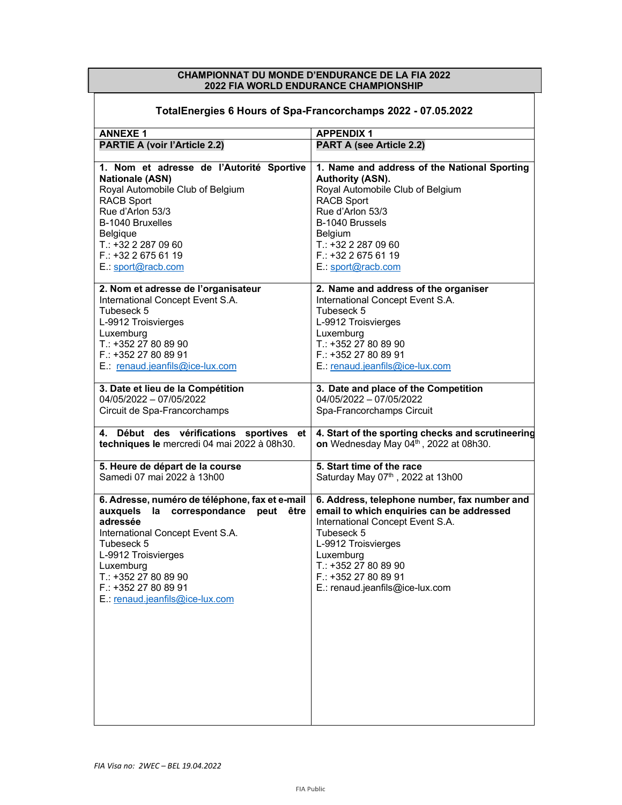## CHAMPIONNAT DU MONDE D'ENDURANCE DE LA FIA 2022 2022 FIA WORLD ENDURANCE CHAMPIONSHIP

| TotalEnergies 6 Hours of Spa-Francorchamps 2022 - 07.05.2022                                                                                                                                                                                                                |                                                                                                                                                                                                                                                                  |  |  |
|-----------------------------------------------------------------------------------------------------------------------------------------------------------------------------------------------------------------------------------------------------------------------------|------------------------------------------------------------------------------------------------------------------------------------------------------------------------------------------------------------------------------------------------------------------|--|--|
| <b>ANNEXE1</b>                                                                                                                                                                                                                                                              | <b>APPENDIX1</b>                                                                                                                                                                                                                                                 |  |  |
| <b>PARTIE A (voir l'Article 2.2)</b>                                                                                                                                                                                                                                        | <b>PART A (see Article 2.2)</b>                                                                                                                                                                                                                                  |  |  |
| 1. Nom et adresse de l'Autorité Sportive                                                                                                                                                                                                                                    | 1. Name and address of the National Sporting                                                                                                                                                                                                                     |  |  |
| <b>Nationale (ASN)</b>                                                                                                                                                                                                                                                      | Authority (ASN).                                                                                                                                                                                                                                                 |  |  |
| Royal Automobile Club of Belgium                                                                                                                                                                                                                                            | Royal Automobile Club of Belgium                                                                                                                                                                                                                                 |  |  |
| <b>RACB Sport</b>                                                                                                                                                                                                                                                           | <b>RACB Sport</b>                                                                                                                                                                                                                                                |  |  |
| Rue d'Arlon 53/3                                                                                                                                                                                                                                                            | Rue d'Arlon 53/3                                                                                                                                                                                                                                                 |  |  |
| B-1040 Bruxelles                                                                                                                                                                                                                                                            | B-1040 Brussels                                                                                                                                                                                                                                                  |  |  |
| Belgique                                                                                                                                                                                                                                                                    | <b>Belgium</b>                                                                                                                                                                                                                                                   |  |  |
| $T.: +32222870960$                                                                                                                                                                                                                                                          | T.: +32 2 287 09 60                                                                                                                                                                                                                                              |  |  |
| F.: +32 2 675 61 19                                                                                                                                                                                                                                                         | F.: +32 2 675 61 19                                                                                                                                                                                                                                              |  |  |
| E.: sport@racb.com                                                                                                                                                                                                                                                          | E.: sport@racb.com                                                                                                                                                                                                                                               |  |  |
| 2. Nom et adresse de l'organisateur                                                                                                                                                                                                                                         | 2. Name and address of the organiser                                                                                                                                                                                                                             |  |  |
| International Concept Event S.A.                                                                                                                                                                                                                                            | International Concept Event S.A.                                                                                                                                                                                                                                 |  |  |
| Tubeseck 5                                                                                                                                                                                                                                                                  | Tubeseck 5                                                                                                                                                                                                                                                       |  |  |
| L-9912 Troisvierges                                                                                                                                                                                                                                                         | L-9912 Troisvierges                                                                                                                                                                                                                                              |  |  |
| Luxemburg                                                                                                                                                                                                                                                                   | Luxemburg                                                                                                                                                                                                                                                        |  |  |
| T.: +352 27 80 89 90                                                                                                                                                                                                                                                        | T.: +352 27 80 89 90                                                                                                                                                                                                                                             |  |  |
| F.: +352 27 80 89 91                                                                                                                                                                                                                                                        | F.: +352 27 80 89 91                                                                                                                                                                                                                                             |  |  |
| E.: renaud.jeanfils@ice-lux.com                                                                                                                                                                                                                                             | E.: renaud.jeanfils@ice-lux.com                                                                                                                                                                                                                                  |  |  |
| 3. Date et lieu de la Compétition                                                                                                                                                                                                                                           | 3. Date and place of the Competition                                                                                                                                                                                                                             |  |  |
| 04/05/2022 - 07/05/2022                                                                                                                                                                                                                                                     | 04/05/2022 - 07/05/2022                                                                                                                                                                                                                                          |  |  |
| Circuit de Spa-Francorchamps                                                                                                                                                                                                                                                | Spa-Francorchamps Circuit                                                                                                                                                                                                                                        |  |  |
| 4. Début des vérifications sportives et                                                                                                                                                                                                                                     | 4. Start of the sporting checks and scrutineering                                                                                                                                                                                                                |  |  |
| techniques le mercredi 04 mai 2022 à 08h30.                                                                                                                                                                                                                                 | on Wednesday May 04th, 2022 at 08h30.                                                                                                                                                                                                                            |  |  |
| 5. Heure de départ de la course                                                                                                                                                                                                                                             | 5. Start time of the race                                                                                                                                                                                                                                        |  |  |
| Samedi 07 mai 2022 à 13h00                                                                                                                                                                                                                                                  | Saturday May 07th, 2022 at 13h00                                                                                                                                                                                                                                 |  |  |
| 6. Adresse, numéro de téléphone, fax et e-mail<br>auxquels la correspondance peut être<br>adressée<br>International Concept Event S.A.<br>Tubeseck 5<br>L-9912 Troisvierges<br>Luxemburg<br>T.: +352 27 80 89 90<br>F.: +352 27 80 89 91<br>E.: renaud.jeanfils@ice-lux.com | 6. Address, telephone number, fax number and<br>email to which enquiries can be addressed<br>International Concept Event S.A.<br>Tubeseck 5<br>L-9912 Troisvierges<br>Luxemburg<br>T.: +352 27 80 89 90<br>$F.: +35227808991$<br>E.: renaud.jeanfils@ice-lux.com |  |  |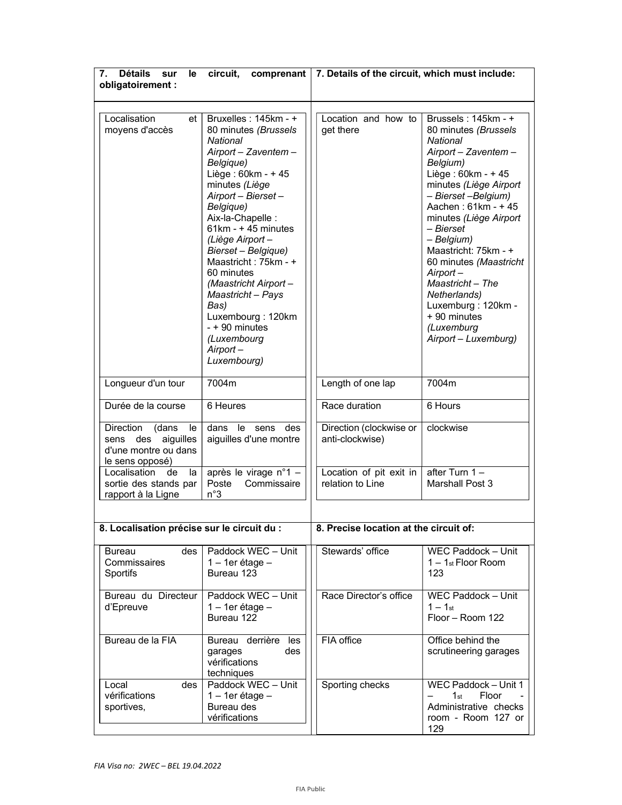| Détails sur<br>7.<br>circuit,<br>le |                                                                                           | comprenant   7. Details of the circuit, which must include:                                                                                                                                                                                                                                                                                                                                                                                  |                                             |                                                                                                                                                                                                                                                                                                                                                                                                                             |  |
|-------------------------------------|-------------------------------------------------------------------------------------------|----------------------------------------------------------------------------------------------------------------------------------------------------------------------------------------------------------------------------------------------------------------------------------------------------------------------------------------------------------------------------------------------------------------------------------------------|---------------------------------------------|-----------------------------------------------------------------------------------------------------------------------------------------------------------------------------------------------------------------------------------------------------------------------------------------------------------------------------------------------------------------------------------------------------------------------------|--|
|                                     | obligatoirement :                                                                         |                                                                                                                                                                                                                                                                                                                                                                                                                                              |                                             |                                                                                                                                                                                                                                                                                                                                                                                                                             |  |
|                                     |                                                                                           |                                                                                                                                                                                                                                                                                                                                                                                                                                              |                                             |                                                                                                                                                                                                                                                                                                                                                                                                                             |  |
|                                     | Localisation<br>et<br>moyens d'accès                                                      | Bruxelles: 145km - +<br>80 minutes (Brussels<br>National<br>Airport - Zaventem -<br>Belgique)<br>Liège: 60km - + 45<br>minutes (Liège<br>Airport - Bierset -<br>Belgique)<br>Aix-la-Chapelle:<br>$61km - + 45$ minutes<br>(Liège Airport-<br>Bierset - Belgique)<br>Maastricht: 75km - +<br>60 minutes<br>(Maastricht Airport-<br>Maastricht - Pays<br>Bas)<br>Luxembourg: 120km<br>- + 90 minutes<br>(Luxembourg<br>Airport-<br>Luxembourg) | Location and how to<br>get there            | Brussels: 145km - +<br>80 minutes (Brussels<br>National<br>Airport - Zaventem -<br>Belgium)<br>Liège: 60km - + 45<br>minutes (Liège Airport<br>- Bierset-Belgium)<br>Aachen: 61km - + 45<br>minutes (Liège Airport<br>– Bierset<br>- Belgium)<br>Maastricht: 75km - +<br>60 minutes (Maastricht<br>Airport-<br>Maastricht – The<br>Netherlands)<br>Luxemburg: 120km -<br>+ 90 minutes<br>(Luxemburg<br>Airport - Luxemburg) |  |
|                                     | Longueur d'un tour                                                                        | 7004m                                                                                                                                                                                                                                                                                                                                                                                                                                        | Length of one lap                           | 7004m                                                                                                                                                                                                                                                                                                                                                                                                                       |  |
|                                     | Durée de la course                                                                        | 6 Heures                                                                                                                                                                                                                                                                                                                                                                                                                                     | Race duration                               | 6 Hours                                                                                                                                                                                                                                                                                                                                                                                                                     |  |
|                                     | Direction<br>(dans<br>le<br>sens des aiguilles<br>d'une montre ou dans<br>le sens opposé) | dans le sens des<br>aiguilles d'une montre                                                                                                                                                                                                                                                                                                                                                                                                   | Direction (clockwise or<br>anti-clockwise)  | clockwise                                                                                                                                                                                                                                                                                                                                                                                                                   |  |
|                                     | Localisation<br>de<br>la<br>sortie des stands par<br>rapport à la Ligne                   | après le virage n°1 -<br>Commissaire<br>Poste<br>n°3                                                                                                                                                                                                                                                                                                                                                                                         | Location of pit exit in<br>relation to Line | after Turn 1-<br>Marshall Post 3                                                                                                                                                                                                                                                                                                                                                                                            |  |
|                                     |                                                                                           |                                                                                                                                                                                                                                                                                                                                                                                                                                              |                                             |                                                                                                                                                                                                                                                                                                                                                                                                                             |  |
|                                     | 8. Localisation précise sur le circuit du :                                               |                                                                                                                                                                                                                                                                                                                                                                                                                                              | 8. Precise location at the circuit of:      |                                                                                                                                                                                                                                                                                                                                                                                                                             |  |
|                                     | des<br><b>Bureau</b><br>Commissaires<br>Sportifs                                          | Paddock WEC - Unit<br>$1 - 1$ er étage -<br>Bureau 123                                                                                                                                                                                                                                                                                                                                                                                       | Stewards' office                            | WEC Paddock - Unit<br>$1 - 1$ st Floor Room<br>123                                                                                                                                                                                                                                                                                                                                                                          |  |
|                                     | Bureau du Directeur<br>d'Epreuve                                                          | Paddock WEC - Unit<br>$1 - 1$ er étage $-$<br>Bureau 122                                                                                                                                                                                                                                                                                                                                                                                     | Race Director's office                      | WEC Paddock - Unit<br>$1 - 1$ st<br>Floor - Room 122                                                                                                                                                                                                                                                                                                                                                                        |  |
|                                     | Bureau de la FIA                                                                          | Bureau derrière les<br>des<br>garages<br>vérifications<br>techniques                                                                                                                                                                                                                                                                                                                                                                         | FIA office                                  | Office behind the<br>scrutineering garages                                                                                                                                                                                                                                                                                                                                                                                  |  |
|                                     | Local<br>des.<br>vérifications<br>sportives,                                              | Paddock WEC - Unit<br>$1 - 1$ er étage -<br>Bureau des<br>vérifications                                                                                                                                                                                                                                                                                                                                                                      | Sporting checks                             | WEC Paddock - Unit 1<br>Floor<br>1st<br>Administrative checks<br>room - Room 127 or<br>129                                                                                                                                                                                                                                                                                                                                  |  |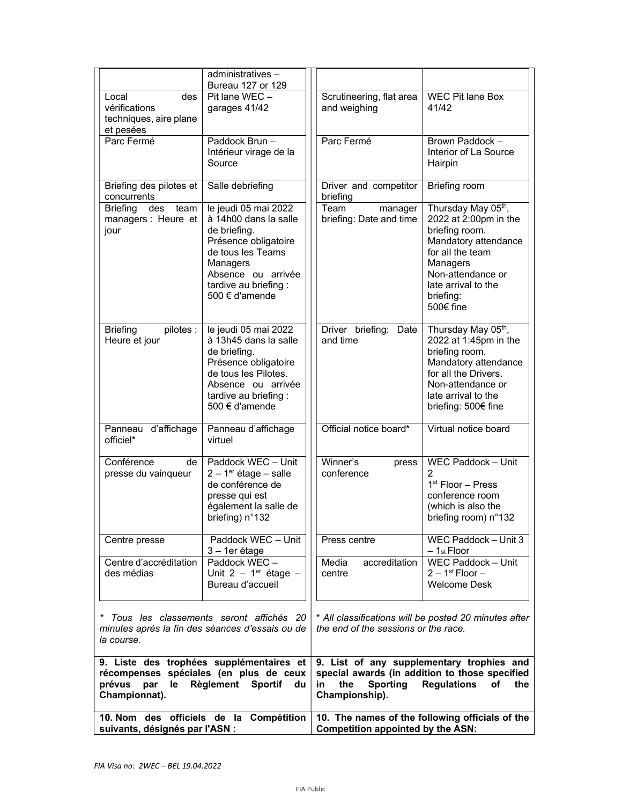| suivants, désignés par l'ASN :                                       | 10. Nom des officiels de la Compétition                                                                                                                                                 | 10. The names of the following officials of the<br><b>Competition appointed by the ASN:</b> |                                                                                                                                                                                             |  |
|----------------------------------------------------------------------|-----------------------------------------------------------------------------------------------------------------------------------------------------------------------------------------|---------------------------------------------------------------------------------------------|---------------------------------------------------------------------------------------------------------------------------------------------------------------------------------------------|--|
| prévus par<br>le<br>Championnat).                                    | 9. Liste des trophées supplémentaires et<br>récompenses spéciales (en plus de ceux<br>Règlement Sportif du                                                                              | the<br><b>Sporting</b><br>in.<br>Championship).                                             | 9. List of any supplementary trophies and<br>special awards (in addition to those specified<br><b>Regulations</b><br><b>of</b><br>the                                                       |  |
| la course.                                                           | * Tous les classements seront affichés 20<br>minutes après la fin des séances d'essais ou de                                                                                            | the end of the sessions or the race.                                                        | * All classifications will be posted 20 minutes after                                                                                                                                       |  |
| Centre d'accréditation<br>des médias                                 | Paddock WEC -<br>Unit 2 - $1er$ étage -<br>Bureau d'accueil                                                                                                                             | Media<br>accreditation<br>centre                                                            | WEC Paddock - Unit<br>$2 - 1st$ Floor $-$<br><b>Welcome Desk</b>                                                                                                                            |  |
| Centre presse                                                        | Paddock WEC - Unit<br>3 - 1er étage                                                                                                                                                     | Press centre                                                                                | WEC Paddock - Unit 3<br>$-1$ st Floor                                                                                                                                                       |  |
| Conférence<br>de<br>presse du vainqueur                              | Paddock WEC - Unit<br>$2 - 1$ <sup>er</sup> étage – salle<br>de conférence de<br>presse qui est<br>également la salle de<br>briefing) n°132                                             | Winner's<br>press<br>conference                                                             | WEC Paddock - Unit<br>$\overline{2}$<br>1 <sup>st</sup> Floor - Press<br>conference room<br>(which is also the<br>briefing room) n°132                                                      |  |
| Panneau d'affichage<br>officiel*                                     | Panneau d'affichage<br>virtuel                                                                                                                                                          | Official notice board*                                                                      | Virtual notice board                                                                                                                                                                        |  |
| <b>Briefing</b><br>pilotes :<br>Heure et jour                        | le jeudi 05 mai 2022<br>à 13h45 dans la salle<br>de briefing.<br>Présence obligatoire<br>de tous les Pilotes.<br>Absence ou arrivée<br>tardive au briefing :<br>500 € d'amende          | Driver briefing: Date<br>and time                                                           | Thursday May 05th,<br>2022 at 1:45pm in the<br>briefing room.<br>Mandatory attendance<br>for all the Drivers.<br>Non-attendance or<br>late arrival to the<br>briefing: 500€ fine            |  |
| <b>Briefing</b><br>des team<br>managers : Heure et<br>jour           | le jeudi 05 mai 2022<br>à 14h00 dans la salle<br>de briefing.<br>Présence obligatoire<br>de tous les Teams<br>Managers<br>Absence ou arrivée<br>tardive au briefing :<br>500 € d'amende | Team<br>manager<br>briefing: Date and time                                                  | Thursday May 05th,<br>2022 at 2:00pm in the<br>briefing room.<br>Mandatory attendance<br>for all the team<br>Managers<br>Non-attendance or<br>late arrival to the<br>briefing:<br>500€ fine |  |
| Briefing des pilotes et<br>concurrents                               | Salle debriefing                                                                                                                                                                        | Driver and competitor<br>briefing                                                           | Briefing room                                                                                                                                                                               |  |
| Parc Fermé                                                           | Paddock Brun-<br>Intérieur virage de la<br>Source                                                                                                                                       | Parc Fermé                                                                                  | Brown Paddock -<br>Interior of La Source<br>Hairpin                                                                                                                                         |  |
| Local<br>des<br>vérifications<br>techniques, aire plane<br>et pesées | Pit lane WEC -<br>garages 41/42                                                                                                                                                         | Scrutineering, flat area<br>and weighing                                                    | <b>WEC Pit lane Box</b><br>41/42                                                                                                                                                            |  |
|                                                                      | administratives-<br>Bureau 127 or 129                                                                                                                                                   |                                                                                             |                                                                                                                                                                                             |  |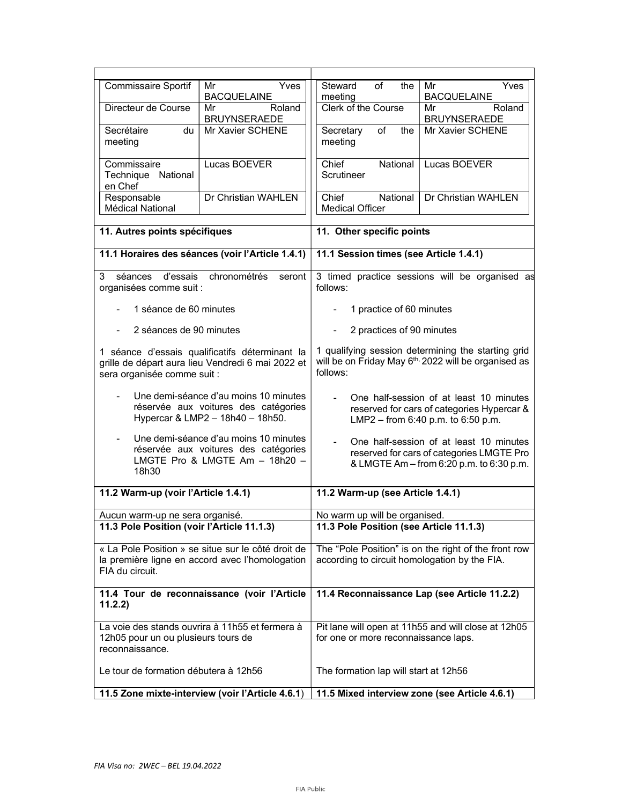| Commissaire Sportif                                    | Yves<br>Mr<br><b>BACQUELAINE</b>                                                                                    | of<br>Steward<br>the<br>meeting                                                                                                    | Yves<br>Mr<br><b>BACQUELAINE</b>    |  |
|--------------------------------------------------------|---------------------------------------------------------------------------------------------------------------------|------------------------------------------------------------------------------------------------------------------------------------|-------------------------------------|--|
| Directeur de Course                                    | Roland<br>Mr<br><b>BRUYNSERAEDE</b>                                                                                 | Clerk of the Course                                                                                                                | Roland<br>Mr<br><b>BRUYNSERAEDE</b> |  |
| Secrétaire<br>du<br>meeting                            | Mr Xavier SCHENE                                                                                                    | Secretary<br>of<br>the<br>meeting                                                                                                  | Mr Xavier SCHENE                    |  |
| Commissaire<br>Technique National<br>en Chef           | Lucas BOEVER                                                                                                        | Chief<br>National<br>Scrutineer                                                                                                    | Lucas BOEVER                        |  |
| Responsable<br>Médical National                        | Dr Christian WAHLEN                                                                                                 | Chief<br>National<br><b>Medical Officer</b>                                                                                        | Dr Christian WAHLEN                 |  |
| 11. Autres points spécifiques                          |                                                                                                                     | 11. Other specific points                                                                                                          |                                     |  |
|                                                        | 11.1 Horaires des séances (voir l'Article 1.4.1)                                                                    | 11.1 Session times (see Article 1.4.1)                                                                                             |                                     |  |
| d'essais<br>séances<br>3<br>organisées comme suit :    | chronométrés<br>seront                                                                                              | 3 timed practice sessions will be organised as<br>follows:                                                                         |                                     |  |
| 1 séance de 60 minutes                                 |                                                                                                                     | 1 practice of 60 minutes                                                                                                           |                                     |  |
| 2 séances de 90 minutes                                |                                                                                                                     | 2 practices of 90 minutes                                                                                                          |                                     |  |
| sera organisée comme suit :                            | 1 séance d'essais qualificatifs déterminant la<br>grille de départ aura lieu Vendredi 6 mai 2022 et                 | 1 qualifying session determining the starting grid<br>will be on Friday May 6 <sup>th,</sup> 2022 will be organised as<br>follows: |                                     |  |
|                                                        | Une demi-séance d'au moins 10 minutes<br>réservée aux voitures des catégories<br>Hypercar & LMP2 - 18h40 - 18h50.   | One half-session of at least 10 minutes<br>reserved for cars of categories Hypercar &<br>LMP2 - from 6:40 p.m. to 6:50 p.m.        |                                     |  |
| 18h30                                                  | Une demi-séance d'au moins 10 minutes<br>réservée aux voitures des catégories<br>LMGTE Pro & LMGTE Am $-$ 18h20 $-$ | One half-session of at least 10 minutes<br>reserved for cars of categories LMGTE Pro<br>& LMGTE Am - from 6:20 p.m. to 6:30 p.m.   |                                     |  |
| 11.2 Warm-up (voir l'Article 1.4.1)                    |                                                                                                                     | 11.2 Warm-up (see Article 1.4.1)                                                                                                   |                                     |  |
| Aucun warm-up ne sera organisé.                        |                                                                                                                     | No warm up will be organised.                                                                                                      |                                     |  |
| 11.3 Pole Position (voir l'Article 11.1.3)             |                                                                                                                     | 11.3 Pole Position (see Article 11.1.3)                                                                                            |                                     |  |
| FIA du circuit.                                        | « La Pole Position » se situe sur le côté droit de<br>la première ligne en accord avec l'homologation               | The "Pole Position" is on the right of the front row<br>according to circuit homologation by the FIA.                              |                                     |  |
| 11.2.2)                                                | 11.4 Tour de reconnaissance (voir l'Article                                                                         | 11.4 Reconnaissance Lap (see Article 11.2.2)                                                                                       |                                     |  |
| 12h05 pour un ou plusieurs tours de<br>reconnaissance. | La voie des stands ouvrira à 11h55 et fermera à                                                                     | Pit lane will open at 11h55 and will close at 12h05<br>for one or more reconnaissance laps.                                        |                                     |  |
| Le tour de formation débutera à 12h56                  |                                                                                                                     | The formation lap will start at 12h56                                                                                              |                                     |  |
|                                                        | 11.5 Zone mixte-interview (voir l'Article 4.6.1)                                                                    | 11.5 Mixed interview zone (see Article 4.6.1)                                                                                      |                                     |  |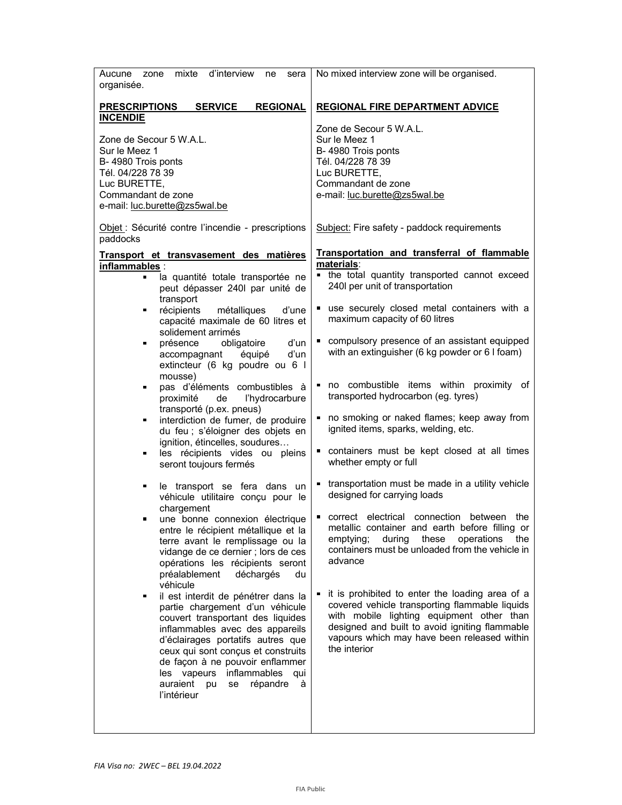| Aucune zone mixte<br>d'interview<br>ne<br>sera<br>organisée.                                                                                                                                                                                                                                                                                                                                                                                                                                                                                                                                                                                                                                                                                                                                                                                                                                                                                                                                                                                                                                                           | No mixed interview zone will be organised.                                                                                                                                                                                                                                                                                                                                                                                                                                                                                                                                                                                                                                                                                                                                                                                                                                                                                                                                                       |  |
|------------------------------------------------------------------------------------------------------------------------------------------------------------------------------------------------------------------------------------------------------------------------------------------------------------------------------------------------------------------------------------------------------------------------------------------------------------------------------------------------------------------------------------------------------------------------------------------------------------------------------------------------------------------------------------------------------------------------------------------------------------------------------------------------------------------------------------------------------------------------------------------------------------------------------------------------------------------------------------------------------------------------------------------------------------------------------------------------------------------------|--------------------------------------------------------------------------------------------------------------------------------------------------------------------------------------------------------------------------------------------------------------------------------------------------------------------------------------------------------------------------------------------------------------------------------------------------------------------------------------------------------------------------------------------------------------------------------------------------------------------------------------------------------------------------------------------------------------------------------------------------------------------------------------------------------------------------------------------------------------------------------------------------------------------------------------------------------------------------------------------------|--|
| <b>PRESCRIPTIONS</b><br><b>SERVICE</b><br><b>REGIONAL</b><br><b>INCENDIE</b>                                                                                                                                                                                                                                                                                                                                                                                                                                                                                                                                                                                                                                                                                                                                                                                                                                                                                                                                                                                                                                           | <b>REGIONAL FIRE DEPARTMENT ADVICE</b>                                                                                                                                                                                                                                                                                                                                                                                                                                                                                                                                                                                                                                                                                                                                                                                                                                                                                                                                                           |  |
| Zone de Secour 5 W.A.L.<br>Sur le Meez 1<br>B-4980 Trois ponts<br>Tél. 04/228 78 39<br>Luc BURETTE,<br>Commandant de zone<br>e-mail: luc.burette@zs5wal.be                                                                                                                                                                                                                                                                                                                                                                                                                                                                                                                                                                                                                                                                                                                                                                                                                                                                                                                                                             | Zone de Secour 5 W.A.L.<br>Sur le Meez 1<br>B-4980 Trois ponts<br>Tél. 04/228 78 39<br>Luc BURETTE,<br>Commandant de zone<br>e-mail: luc.burette@zs5wal.be                                                                                                                                                                                                                                                                                                                                                                                                                                                                                                                                                                                                                                                                                                                                                                                                                                       |  |
| Objet : Sécurité contre l'incendie - prescriptions<br>paddocks                                                                                                                                                                                                                                                                                                                                                                                                                                                                                                                                                                                                                                                                                                                                                                                                                                                                                                                                                                                                                                                         | Subject: Fire safety - paddock requirements                                                                                                                                                                                                                                                                                                                                                                                                                                                                                                                                                                                                                                                                                                                                                                                                                                                                                                                                                      |  |
| Transport et transvasement des matières<br>inflammables :<br>la quantité totale transportée ne<br>peut dépasser 240l par unité de<br>transport<br>récipients<br>métalliques<br>d'une<br>$\blacksquare$<br>capacité maximale de 60 litres et<br>solidement arrimés<br>obligatoire<br>d'un<br>présence<br>d'un<br>accompagnant équipé<br>extincteur (6 kg poudre ou 6 l<br>mousse)<br>pas d'éléments combustibles à<br>proximité<br>l'hydrocarbure<br>de<br>transporté (p.ex. pneus)<br>interdiction de fumer, de produire<br>$\blacksquare$<br>du feu ; s'éloigner des objets en<br>ignition, étincelles, soudures<br>les récipients vides ou pleins<br>$\blacksquare$<br>seront toujours fermés<br>le transport se fera dans un<br>véhicule utilitaire conçu pour le<br>chargement<br>une bonne connexion électrique<br>entre le récipient métallique et la<br>terre avant le remplissage ou la<br>vidange de ce dernier ; lors de ces<br>opérations les récipients seront<br>préalablement<br>déchargés<br>du<br>véhicule<br>il est interdit de pénétrer dans la<br>$\blacksquare$<br>partie chargement d'un véhicule | Transportation and transferral of flammable<br>materials:<br>• the total quantity transported cannot exceed<br>240I per unit of transportation<br>use securely closed metal containers with a<br>٠<br>maximum capacity of 60 litres<br>compulsory presence of an assistant equipped<br>with an extinguisher (6 kg powder or 6 I foam)<br>no combustible items within proximity of<br>transported hydrocarbon (eg. tyres)<br>no smoking or naked flames; keep away from<br>ignited items, sparks, welding, etc.<br>containers must be kept closed at all times<br>whether empty or full<br>transportation must be made in a utility vehicle<br>designed for carrying loads<br>correct electrical connection between the<br>metallic container and earth before filling or<br>these<br>operations<br>emptying;<br>during<br>the<br>containers must be unloaded from the vehicle in<br>advance<br>it is prohibited to enter the loading area of a<br>covered vehicle transporting flammable liquids |  |
| couvert transportant des liquides<br>inflammables avec des appareils<br>d'éclairages portatifs autres que<br>ceux qui sont conçus et construits<br>de façon à ne pouvoir enflammer<br>les vapeurs inflammables qui<br>auraient pu<br>se répandre<br>à<br>l'intérieur                                                                                                                                                                                                                                                                                                                                                                                                                                                                                                                                                                                                                                                                                                                                                                                                                                                   | with mobile lighting equipment other than<br>designed and built to avoid igniting flammable<br>vapours which may have been released within<br>the interior                                                                                                                                                                                                                                                                                                                                                                                                                                                                                                                                                                                                                                                                                                                                                                                                                                       |  |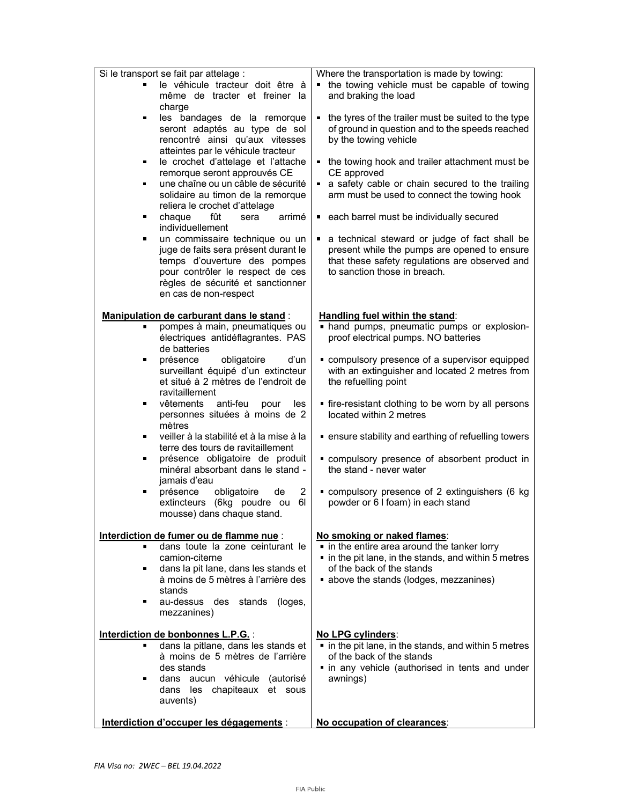| Interdiction d'occuper les dégagements :                                                                                                                                                                                                                                                                                                                                                                                                                                                                                                                                                                                         | No occupation of clearances:                                                                                                                                                                                                                                                                                                                                                                                                                                                                                                        |  |
|----------------------------------------------------------------------------------------------------------------------------------------------------------------------------------------------------------------------------------------------------------------------------------------------------------------------------------------------------------------------------------------------------------------------------------------------------------------------------------------------------------------------------------------------------------------------------------------------------------------------------------|-------------------------------------------------------------------------------------------------------------------------------------------------------------------------------------------------------------------------------------------------------------------------------------------------------------------------------------------------------------------------------------------------------------------------------------------------------------------------------------------------------------------------------------|--|
| Interdiction de bonbonnes L.P.G. :<br>dans la pitlane, dans les stands et<br>à moins de 5 mètres de l'arrière<br>des stands<br>dans aucun véhicule (autorisé<br>п<br>dans les chapiteaux et sous<br>auvents)                                                                                                                                                                                                                                                                                                                                                                                                                     | No LPG cylinders:<br>• in the pit lane, in the stands, and within 5 metres<br>of the back of the stands<br>in any vehicle (authorised in tents and under<br>awnings)                                                                                                                                                                                                                                                                                                                                                                |  |
| Interdiction de fumer ou de flamme nue :<br>dans toute la zone ceinturant le<br>camion-citerne<br>dans la pit lane, dans les stands et<br>٠<br>à moins de 5 mètres à l'arrière des<br>stands<br>au-dessus des stands<br>(loges,<br>п<br>mezzanines)                                                                                                                                                                                                                                                                                                                                                                              | No smoking or naked flames:<br>. in the entire area around the tanker lorry<br>in the pit lane, in the stands, and within 5 metres<br>of the back of the stands<br>• above the stands (lodges, mezzanines)                                                                                                                                                                                                                                                                                                                          |  |
| jamais d'eau<br>$\overline{c}$<br>présence<br>obligatoire<br>de<br>ш<br>extincteurs (6kg poudre ou<br>6I<br>mousse) dans chaque stand.                                                                                                                                                                                                                                                                                                                                                                                                                                                                                           | compulsory presence of 2 extinguishers (6 kg<br>powder or 6 I foam) in each stand                                                                                                                                                                                                                                                                                                                                                                                                                                                   |  |
| mètres<br>veiller à la stabilité et à la mise à la<br>$\blacksquare$<br>terre des tours de ravitaillement<br>présence obligatoire de produit<br>ш<br>minéral absorbant dans le stand -                                                                                                                                                                                                                                                                                                                                                                                                                                           | ensure stability and earthing of refuelling towers<br>compulsory presence of absorbent product in<br>the stand - never water                                                                                                                                                                                                                                                                                                                                                                                                        |  |
| surveillant équipé d'un extincteur<br>et situé à 2 mètres de l'endroit de<br>ravitaillement<br>anti-feu<br>vêtements<br>les<br>pour<br>personnes situées à moins de 2                                                                                                                                                                                                                                                                                                                                                                                                                                                            | with an extinguisher and located 2 metres from<br>the refuelling point<br>• fire-resistant clothing to be worn by all persons<br>located within 2 metres                                                                                                                                                                                                                                                                                                                                                                            |  |
| Manipulation de carburant dans le stand :<br>pompes à main, pneumatiques ou<br>électriques antidéflagrantes. PAS<br>de batteries<br>présence<br>obligatoire<br>d'un<br>π                                                                                                                                                                                                                                                                                                                                                                                                                                                         | Handling fuel within the stand:<br>. hand pumps, pneumatic pumps or explosion-<br>proof electrical pumps. NO batteries<br>compulsory presence of a supervisor equipped                                                                                                                                                                                                                                                                                                                                                              |  |
| les bandages de la remorque<br>П<br>seront adaptés au type de sol<br>rencontré ainsi qu'aux vitesses<br>atteintes par le véhicule tracteur<br>le crochet d'attelage et l'attache<br>ш<br>remorque seront approuvés CE<br>une chaîne ou un câble de sécurité<br>٠<br>solidaire au timon de la remorque<br>reliera le crochet d'attelage<br>chaque<br>$\blacksquare$<br>fût<br>arrimé<br>sera<br>individuellement<br>un commissaire technique ou un<br>٠<br>juge de faits sera présent durant le<br>temps d'ouverture des pompes<br>pour contrôler le respect de ces<br>règles de sécurité et sanctionner<br>en cas de non-respect | the tyres of the trailer must be suited to the type<br>of ground in question and to the speeds reached<br>by the towing vehicle<br>• the towing hook and trailer attachment must be<br>CE approved<br>a safety cable or chain secured to the trailing<br>arm must be used to connect the towing hook<br>each barrel must be individually secured<br>a technical steward or judge of fact shall be<br>present while the pumps are opened to ensure<br>that these safety regulations are observed and<br>to sanction those in breach. |  |
| Si le transport se fait par attelage :<br>le véhicule tracteur doit être à<br>même de tracter et freiner la<br>charge                                                                                                                                                                                                                                                                                                                                                                                                                                                                                                            | Where the transportation is made by towing:<br>• the towing vehicle must be capable of towing<br>and braking the load                                                                                                                                                                                                                                                                                                                                                                                                               |  |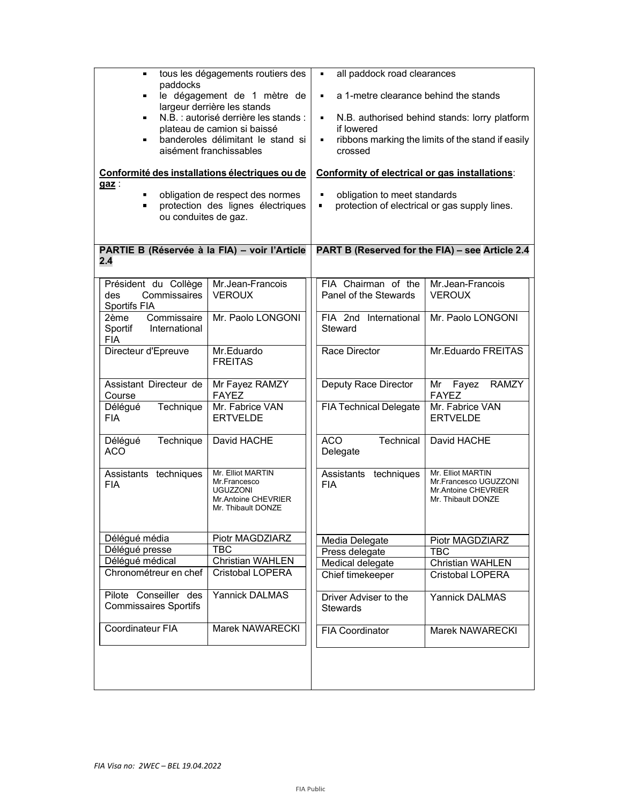| tous les dégagements routiers des<br>paddocks<br>le dégagement de 1 mètre de<br>$\blacksquare$<br>largeur derrière les stands<br>N.B. : autorisé derrière les stands :<br>plateau de camion si baissé<br>banderoles délimitant le stand si<br>$\blacksquare$<br>aisément franchissables<br>Conformité des installations électriques ou de<br>$gas$ :<br>obligation de respect des normes<br>protection des lignes électriques<br>ou conduites de gaz. |                                                                                                                       |                                                                                                   | a 1-metre clearance behind the stands<br>$\blacksquare$<br>N.B. authorised behind stands: lorry platform<br>$\blacksquare$<br>if lowered<br>ribbons marking the limits of the stand if easily<br>$\blacksquare$<br>crossed<br>Conformity of electrical or gas installations:<br>obligation to meet standards<br>$\blacksquare$<br>$\blacksquare$<br>protection of electrical or gas supply lines. |                                                                                         |  |
|-------------------------------------------------------------------------------------------------------------------------------------------------------------------------------------------------------------------------------------------------------------------------------------------------------------------------------------------------------------------------------------------------------------------------------------------------------|-----------------------------------------------------------------------------------------------------------------------|---------------------------------------------------------------------------------------------------|---------------------------------------------------------------------------------------------------------------------------------------------------------------------------------------------------------------------------------------------------------------------------------------------------------------------------------------------------------------------------------------------------|-----------------------------------------------------------------------------------------|--|
|                                                                                                                                                                                                                                                                                                                                                                                                                                                       | PARTIE B (Réservée à la FIA) - voir l'Article<br>2.4                                                                  |                                                                                                   | PART B (Reserved for the FIA) - see Article 2.4                                                                                                                                                                                                                                                                                                                                                   |                                                                                         |  |
|                                                                                                                                                                                                                                                                                                                                                                                                                                                       | Président du Collège<br>Commissaires<br>des<br><b>Sportifs FIA</b><br>Commissaire<br>2ème<br>International<br>Sportif | Mr.Jean-Francois<br><b>VEROUX</b><br>Mr. Paolo LONGONI                                            | FIA Chairman of the<br>Panel of the Stewards<br>FIA 2nd International<br>Steward                                                                                                                                                                                                                                                                                                                  | Mr.Jean-Francois<br><b>VEROUX</b><br>Mr. Paolo LONGONI                                  |  |
|                                                                                                                                                                                                                                                                                                                                                                                                                                                       | <b>FIA</b><br>Directeur d'Epreuve                                                                                     | Mr.Eduardo<br><b>FREITAS</b>                                                                      | Race Director                                                                                                                                                                                                                                                                                                                                                                                     | Mr.Eduardo FREITAS                                                                      |  |
|                                                                                                                                                                                                                                                                                                                                                                                                                                                       | Assistant Directeur de<br>Course                                                                                      | Mr Fayez RAMZY<br><b>FAYEZ</b>                                                                    | Deputy Race Director                                                                                                                                                                                                                                                                                                                                                                              | <b>RAMZY</b><br>Mr Fayez<br><b>FAYEZ</b>                                                |  |
|                                                                                                                                                                                                                                                                                                                                                                                                                                                       | Délégué<br>Technique<br>FIA                                                                                           | Mr. Fabrice VAN<br><b>ERTVELDE</b>                                                                | <b>FIA Technical Delegate</b>                                                                                                                                                                                                                                                                                                                                                                     | Mr. Fabrice VAN<br><b>ERTVELDE</b>                                                      |  |
|                                                                                                                                                                                                                                                                                                                                                                                                                                                       | Délégué<br>Technique<br>ACO                                                                                           | David HACHE                                                                                       | <b>ACO</b><br>Technical<br>Delegate                                                                                                                                                                                                                                                                                                                                                               | David HACHE                                                                             |  |
|                                                                                                                                                                                                                                                                                                                                                                                                                                                       | Assistants techniques<br>FIA                                                                                          | Mr. Elliot MARTIN<br>Mr.Francesco<br><b>UGUZZONI</b><br>Mr.Antoine CHEVRIER<br>Mr. Thibault DONZE | Assistants techniques<br><b>FIA</b>                                                                                                                                                                                                                                                                                                                                                               | Mr. Elliot MARTIN<br>Mr.Francesco UGUZZONI<br>Mr.Antoine CHEVRIER<br>Mr. Thibault DONZE |  |
|                                                                                                                                                                                                                                                                                                                                                                                                                                                       | Délégué média                                                                                                         | Piotr MAGDZIARZ                                                                                   | Media Delegate                                                                                                                                                                                                                                                                                                                                                                                    | Piotr MAGDZIARZ                                                                         |  |
|                                                                                                                                                                                                                                                                                                                                                                                                                                                       | Délégué presse                                                                                                        | <b>TBC</b>                                                                                        | Press delegate                                                                                                                                                                                                                                                                                                                                                                                    | <b>TBC</b>                                                                              |  |
|                                                                                                                                                                                                                                                                                                                                                                                                                                                       | Délégué médical                                                                                                       | <b>Christian WAHLEN</b>                                                                           | Medical delegate                                                                                                                                                                                                                                                                                                                                                                                  | Christian WAHLEN                                                                        |  |
|                                                                                                                                                                                                                                                                                                                                                                                                                                                       | Chronométreur en chef                                                                                                 | Cristobal LOPERA                                                                                  | Chief timekeeper                                                                                                                                                                                                                                                                                                                                                                                  | Cristobal LOPERA                                                                        |  |
|                                                                                                                                                                                                                                                                                                                                                                                                                                                       | Pilote Conseiller des<br><b>Commissaires Sportifs</b>                                                                 | Yannick DALMAS                                                                                    | Driver Adviser to the<br><b>Stewards</b>                                                                                                                                                                                                                                                                                                                                                          | Yannick DALMAS                                                                          |  |
|                                                                                                                                                                                                                                                                                                                                                                                                                                                       | Coordinateur FIA                                                                                                      | Marek NAWARECKI                                                                                   | <b>FIA Coordinator</b>                                                                                                                                                                                                                                                                                                                                                                            | Marek NAWARECKI                                                                         |  |
|                                                                                                                                                                                                                                                                                                                                                                                                                                                       |                                                                                                                       |                                                                                                   |                                                                                                                                                                                                                                                                                                                                                                                                   |                                                                                         |  |